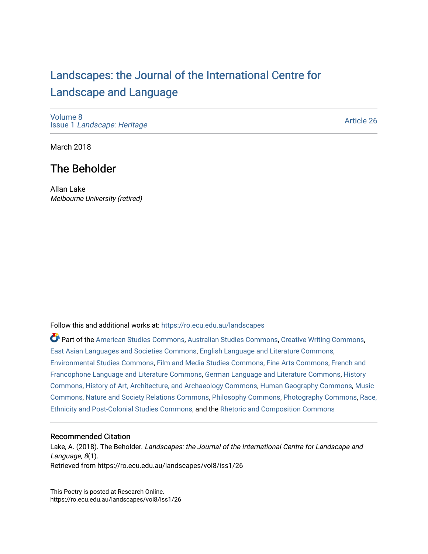# [Landscapes: the Journal of the International Centre for](https://ro.ecu.edu.au/landscapes) [Landscape and Language](https://ro.ecu.edu.au/landscapes)

[Volume 8](https://ro.ecu.edu.au/landscapes/vol8) Issue 1 [Landscape: Heritage](https://ro.ecu.edu.au/landscapes/vol8/iss1)

[Article 26](https://ro.ecu.edu.au/landscapes/vol8/iss1/26) 

March 2018

## The Beholder

Allan Lake Melbourne University (retired)

Follow this and additional works at: [https://ro.ecu.edu.au/landscapes](https://ro.ecu.edu.au/landscapes?utm_source=ro.ecu.edu.au%2Flandscapes%2Fvol8%2Fiss1%2F26&utm_medium=PDF&utm_campaign=PDFCoverPages) 

Part of the [American Studies Commons](http://network.bepress.com/hgg/discipline/439?utm_source=ro.ecu.edu.au%2Flandscapes%2Fvol8%2Fiss1%2F26&utm_medium=PDF&utm_campaign=PDFCoverPages), [Australian Studies Commons,](http://network.bepress.com/hgg/discipline/1020?utm_source=ro.ecu.edu.au%2Flandscapes%2Fvol8%2Fiss1%2F26&utm_medium=PDF&utm_campaign=PDFCoverPages) [Creative Writing Commons,](http://network.bepress.com/hgg/discipline/574?utm_source=ro.ecu.edu.au%2Flandscapes%2Fvol8%2Fiss1%2F26&utm_medium=PDF&utm_campaign=PDFCoverPages) [East Asian Languages and Societies Commons](http://network.bepress.com/hgg/discipline/481?utm_source=ro.ecu.edu.au%2Flandscapes%2Fvol8%2Fiss1%2F26&utm_medium=PDF&utm_campaign=PDFCoverPages), [English Language and Literature Commons,](http://network.bepress.com/hgg/discipline/455?utm_source=ro.ecu.edu.au%2Flandscapes%2Fvol8%2Fiss1%2F26&utm_medium=PDF&utm_campaign=PDFCoverPages) [Environmental Studies Commons,](http://network.bepress.com/hgg/discipline/1333?utm_source=ro.ecu.edu.au%2Flandscapes%2Fvol8%2Fiss1%2F26&utm_medium=PDF&utm_campaign=PDFCoverPages) [Film and Media Studies Commons,](http://network.bepress.com/hgg/discipline/563?utm_source=ro.ecu.edu.au%2Flandscapes%2Fvol8%2Fiss1%2F26&utm_medium=PDF&utm_campaign=PDFCoverPages) [Fine Arts Commons,](http://network.bepress.com/hgg/discipline/1141?utm_source=ro.ecu.edu.au%2Flandscapes%2Fvol8%2Fiss1%2F26&utm_medium=PDF&utm_campaign=PDFCoverPages) [French and](http://network.bepress.com/hgg/discipline/463?utm_source=ro.ecu.edu.au%2Flandscapes%2Fvol8%2Fiss1%2F26&utm_medium=PDF&utm_campaign=PDFCoverPages)  [Francophone Language and Literature Commons,](http://network.bepress.com/hgg/discipline/463?utm_source=ro.ecu.edu.au%2Flandscapes%2Fvol8%2Fiss1%2F26&utm_medium=PDF&utm_campaign=PDFCoverPages) [German Language and Literature Commons](http://network.bepress.com/hgg/discipline/467?utm_source=ro.ecu.edu.au%2Flandscapes%2Fvol8%2Fiss1%2F26&utm_medium=PDF&utm_campaign=PDFCoverPages), [History](http://network.bepress.com/hgg/discipline/489?utm_source=ro.ecu.edu.au%2Flandscapes%2Fvol8%2Fiss1%2F26&utm_medium=PDF&utm_campaign=PDFCoverPages)  [Commons](http://network.bepress.com/hgg/discipline/489?utm_source=ro.ecu.edu.au%2Flandscapes%2Fvol8%2Fiss1%2F26&utm_medium=PDF&utm_campaign=PDFCoverPages), [History of Art, Architecture, and Archaeology Commons](http://network.bepress.com/hgg/discipline/510?utm_source=ro.ecu.edu.au%2Flandscapes%2Fvol8%2Fiss1%2F26&utm_medium=PDF&utm_campaign=PDFCoverPages), [Human Geography Commons,](http://network.bepress.com/hgg/discipline/356?utm_source=ro.ecu.edu.au%2Flandscapes%2Fvol8%2Fiss1%2F26&utm_medium=PDF&utm_campaign=PDFCoverPages) [Music](http://network.bepress.com/hgg/discipline/518?utm_source=ro.ecu.edu.au%2Flandscapes%2Fvol8%2Fiss1%2F26&utm_medium=PDF&utm_campaign=PDFCoverPages) [Commons](http://network.bepress.com/hgg/discipline/518?utm_source=ro.ecu.edu.au%2Flandscapes%2Fvol8%2Fiss1%2F26&utm_medium=PDF&utm_campaign=PDFCoverPages), [Nature and Society Relations Commons](http://network.bepress.com/hgg/discipline/357?utm_source=ro.ecu.edu.au%2Flandscapes%2Fvol8%2Fiss1%2F26&utm_medium=PDF&utm_campaign=PDFCoverPages), [Philosophy Commons](http://network.bepress.com/hgg/discipline/525?utm_source=ro.ecu.edu.au%2Flandscapes%2Fvol8%2Fiss1%2F26&utm_medium=PDF&utm_campaign=PDFCoverPages), [Photography Commons,](http://network.bepress.com/hgg/discipline/1142?utm_source=ro.ecu.edu.au%2Flandscapes%2Fvol8%2Fiss1%2F26&utm_medium=PDF&utm_campaign=PDFCoverPages) [Race,](http://network.bepress.com/hgg/discipline/566?utm_source=ro.ecu.edu.au%2Flandscapes%2Fvol8%2Fiss1%2F26&utm_medium=PDF&utm_campaign=PDFCoverPages) [Ethnicity and Post-Colonial Studies Commons](http://network.bepress.com/hgg/discipline/566?utm_source=ro.ecu.edu.au%2Flandscapes%2Fvol8%2Fiss1%2F26&utm_medium=PDF&utm_campaign=PDFCoverPages), and the [Rhetoric and Composition Commons](http://network.bepress.com/hgg/discipline/573?utm_source=ro.ecu.edu.au%2Flandscapes%2Fvol8%2Fiss1%2F26&utm_medium=PDF&utm_campaign=PDFCoverPages)

#### Recommended Citation

Lake, A. (2018). The Beholder. Landscapes: the Journal of the International Centre for Landscape and Language, 8(1). Retrieved from https://ro.ecu.edu.au/landscapes/vol8/iss1/26

This Poetry is posted at Research Online. https://ro.ecu.edu.au/landscapes/vol8/iss1/26